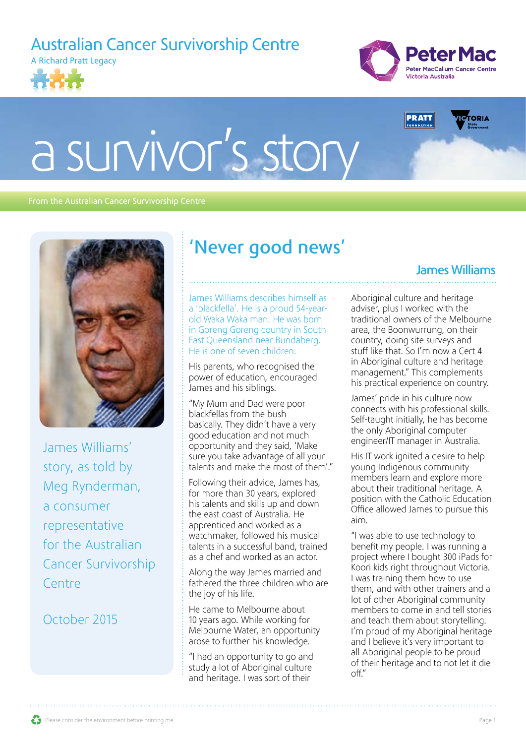Australian Cancer Survivorship Centre







James Williams

# a survivor's story

#### From the Australian Cancer Survivorship Centre



James Williams' story, as told by Meg Rynderman, a consumer representative for the Australian Cancer Survivorship Centre

### October 2015

## 'Never good news'

James Williams describes himself as a 'blackfella'. He is a proud 54-yearold Waka Waka man. He was born in Goreng Goreng country in South East Queensland near Bundaberg. He is one of seven children.

His parents, who recognised the power of education, encouraged James and his siblings.

"My Mum and Dad were poor blackfellas from the bush basically. They didn't have a very good education and not much opportunity and they said, 'Make sure you take advantage of all your talents and make the most of them'."

Following their advice, James has, for more than 30 years, explored his talents and skills up and down the east coast of Australia. He apprenticed and worked as a watchmaker, followed his musical talents in a successful band, trained as a chef and worked as an actor.

Along the way James married and fathered the three children who are the joy of his life.

He came to Melbourne about 10 years ago. While working for Melbourne Water, an opportunity arose to further his knowledge.

"I had an opportunity to go and study a lot of Aboriginal culture and heritage. I was sort of their

Aboriginal culture and heritage adviser, plus I worked with the traditional owners of the Melbourne area, the Boonwurrung, on their country, doing site surveys and stuff like that. So I'm now a Cert 4 in Aboriginal culture and heritage management." This complements his practical experience on country.

James' pride in his culture now connects with his professional skills. Self-taught initially, he has become the only Aboriginal computer engineer/IT manager in Australia.

His IT work ignited a desire to help young Indigenous community members learn and explore more about their traditional heritage. A position with the Catholic Education Office allowed James to pursue this aim.

"I was able to use technology to benefit my people. I was running a project where I bought 300 iPads for Koori kids right throughout Victoria. I was training them how to use them, and with other trainers and a lot of other Aboriginal community members to come in and tell stories and teach them about storytelling. I'm proud of my Aboriginal heritage and I believe it's very important to all Aboriginal people to be proud of their heritage and to not let it die off."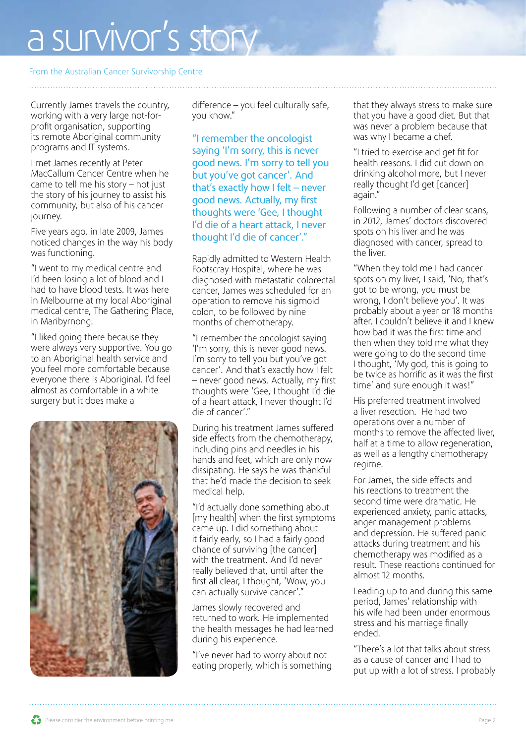# a survivor's story

#### From the Australian Cancer Survivorship Centre

Currently James travels the country, working with a very large not-forprofit organisation, supporting its remote Aboriginal community programs and IT systems.

I met James recently at Peter MacCallum Cancer Centre when he came to tell me his story – not just the story of his journey to assist his community, but also of his cancer journey.

Five years ago, in late 2009, James noticed changes in the way his body was functioning.

"I went to my medical centre and I'd been losing a lot of blood and I had to have blood tests. It was here in Melbourne at my local Aboriginal medical centre, The Gathering Place, in Maribyrnong.

"I liked going there because they were always very supportive. You go to an Aboriginal health service and you feel more comfortable because everyone there is Aboriginal. I'd feel almost as comfortable in a white surgery but it does make a



difference – you feel culturally safe, you know."

"I remember the oncologist saying 'I'm sorry, this is never good news. I'm sorry to tell you but you've got cancer'. And that's exactly how I felt – never good news. Actually, my first thoughts were 'Gee, I thought I'd die of a heart attack, I never thought I'd die of cancer'."

Rapidly admitted to Western Health Footscray Hospital, where he was diagnosed with metastatic colorectal cancer, James was scheduled for an operation to remove his sigmoid colon, to be followed by nine months of chemotherapy.

"I remember the oncologist saying 'I'm sorry, this is never good news. I'm sorry to tell you but you've got cancer'. And that's exactly how I felt – never good news. Actually, my first thoughts were 'Gee, I thought I'd die of a heart attack, I never thought I'd die of cancer'."

During his treatment James suffered side effects from the chemotherapy, including pins and needles in his hands and feet, which are only now dissipating. He says he was thankful that he'd made the decision to seek medical help.

"I'd actually done something about [my health] when the first symptoms came up. I did something about it fairly early, so I had a fairly good chance of surviving [the cancer] with the treatment. And I'd never really believed that, until after the first all clear, I thought, 'Wow, you can actually survive cancer'."

James slowly recovered and returned to work. He implemented the health messages he had learned during his experience.

"I've never had to worry about not eating properly, which is something that they always stress to make sure that you have a good diet. But that was never a problem because that was why I became a chef.

"I tried to exercise and get fit for health reasons. I did cut down on drinking alcohol more, but I never really thought I'd get [cancer] again."

Following a number of clear scans, in 2012, James' doctors discovered spots on his liver and he was diagnosed with cancer, spread to the liver.

"When they told me I had cancer spots on my liver, I said, 'No, that's got to be wrong, you must be wrong, I don't believe you'. It was probably about a year or 18 months after. I couldn't believe it and I knew how bad it was the first time and then when they told me what they were going to do the second time I thought, 'My god, this is going to be twice as horrific as it was the first time' and sure enough it was!"

His preferred treatment involved a liver resection. He had two operations over a number of months to remove the affected liver, half at a time to allow regeneration, as well as a lengthy chemotherapy regime.

For James, the side effects and his reactions to treatment the second time were dramatic. He experienced anxiety, panic attacks, anger management problems and depression. He suffered panic attacks during treatment and his chemotherapy was modified as a result. These reactions continued for almost 12 months.

Leading up to and during this same period, James' relationship with his wife had been under enormous stress and his marriage finally ended.

"There's a lot that talks about stress as a cause of cancer and I had to put up with a lot of stress. I probably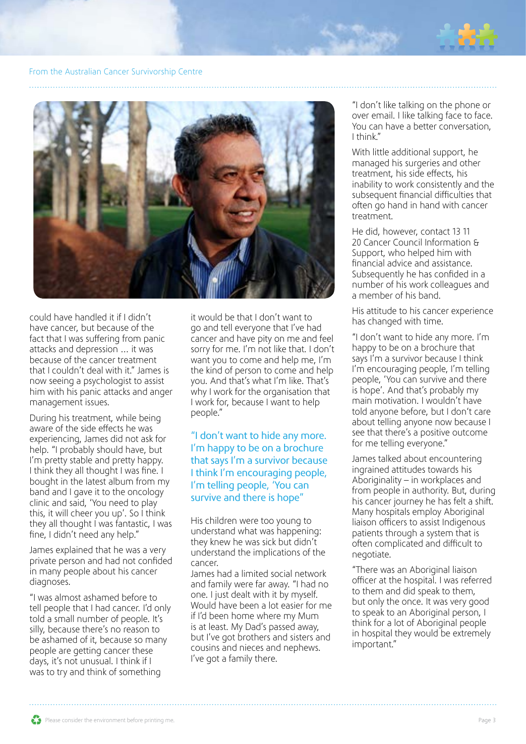

#### From the Australian Cancer Survivorship Centre



could have handled it if I didn't have cancer, but because of the fact that I was suffering from panic attacks and depression … it was because of the cancer treatment that I couldn't deal with it." James is now seeing a psychologist to assist him with his panic attacks and anger management issues.

During his treatment, while being aware of the side effects he was experiencing, James did not ask for help. "I probably should have, but I'm pretty stable and pretty happy. I think they all thought I was fine. I bought in the latest album from my band and I gave it to the oncology clinic and said, 'You need to play this, it will cheer you up'. So I think they all thought I was fantastic, I was fine, I didn't need any help."

James explained that he was a very private person and had not confided in many people about his cancer diagnoses.

"I was almost ashamed before to tell people that I had cancer. I'd only told a small number of people. It's silly, because there's no reason to be ashamed of it, because so many people are getting cancer these days, it's not unusual. I think if I was to try and think of something

it would be that I don't want to go and tell everyone that I've had cancer and have pity on me and feel sorry for me. I'm not like that. I don't want you to come and help me, I'm the kind of person to come and help you. And that's what I'm like. That's why I work for the organisation that I work for, because I want to help people."

#### "I don't want to hide any more. I'm happy to be on a brochure that says I'm a survivor because I think I'm encouraging people, I'm telling people, 'You can survive and there is hope"

His children were too young to understand what was happening: they knew he was sick but didn't understand the implications of the cancer.

James had a limited social network and family were far away. "I had no one. I just dealt with it by myself. Would have been a lot easier for me if I'd been home where my Mum is at least. My Dad's passed away, but I've got brothers and sisters and cousins and nieces and nephews. I've got a family there.

"I don't like talking on the phone or over email. I like talking face to face. You can have a better conversation, I think."

With little additional support, he managed his surgeries and other treatment, his side effects, his inability to work consistently and the subsequent financial difficulties that often go hand in hand with cancer treatment.

He did, however, contact 13 11 20 Cancer Council Information & Support, who helped him with financial advice and assistance. Subsequently he has confided in a number of his work colleagues and a member of his band.

His attitude to his cancer experience has changed with time.

"I don't want to hide any more. I'm happy to be on a brochure that says I'm a survivor because I think I'm encouraging people, I'm telling people, 'You can survive and there is hope'. And that's probably my main motivation. I wouldn't have told anyone before, but I don't care about telling anyone now because I see that there's a positive outcome for me telling everyone."

James talked about encountering ingrained attitudes towards his Aboriginality – in workplaces and from people in authority. But, during his cancer journey he has felt a shift. Many hospitals employ Aboriginal liaison officers to assist Indigenous patients through a system that is often complicated and difficult to negotiate.

"There was an Aboriginal liaison officer at the hospital. I was referred to them and did speak to them, but only the once. It was very good to speak to an Aboriginal person, I think for a lot of Aboriginal people in hospital they would be extremely important."